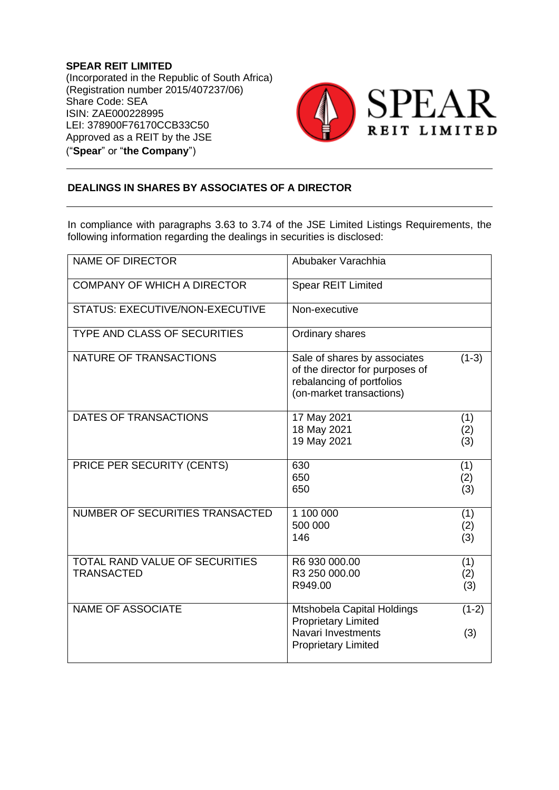**SPEAR REIT LIMITED** (Incorporated in the Republic of South Africa) (Registration number 2015/407237/06) Share Code: SEA ISIN: ZAE000228995 LEI: 378900F76170CCB33C50 Approved as a REIT by the JSE ("**Spear**" or "**the Company**")



## **DEALINGS IN SHARES BY ASSOCIATES OF A DIRECTOR**

In compliance with paragraphs 3.63 to 3.74 of the JSE Limited Listings Requirements, the following information regarding the dealings in securities is disclosed:

| <b>NAME OF DIRECTOR</b>                             | Abubaker Varachhia                                                                                                       |                   |
|-----------------------------------------------------|--------------------------------------------------------------------------------------------------------------------------|-------------------|
| <b>COMPANY OF WHICH A DIRECTOR</b>                  | <b>Spear REIT Limited</b>                                                                                                |                   |
| <b>STATUS: EXECUTIVE/NON-EXECUTIVE</b>              | Non-executive                                                                                                            |                   |
| <b>TYPE AND CLASS OF SECURITIES</b>                 | Ordinary shares                                                                                                          |                   |
| NATURE OF TRANSACTIONS                              | Sale of shares by associates<br>of the director for purposes of<br>rebalancing of portfolios<br>(on-market transactions) | $(1-3)$           |
| DATES OF TRANSACTIONS                               | 17 May 2021<br>18 May 2021<br>19 May 2021                                                                                | (1)<br>(2)<br>(3) |
| PRICE PER SECURITY (CENTS)                          | 630<br>650<br>650                                                                                                        | (1)<br>(2)<br>(3) |
| NUMBER OF SECURITIES TRANSACTED                     | 1 100 000<br>500 000<br>146                                                                                              | (1)<br>(2)<br>(3) |
| TOTAL RAND VALUE OF SECURITIES<br><b>TRANSACTED</b> | R6 930 000.00<br>R3 250 000.00<br>R949.00                                                                                | (1)<br>(2)<br>(3) |
| <b>NAME OF ASSOCIATE</b>                            | Mtshobela Capital Holdings<br><b>Proprietary Limited</b><br>Navari Investments<br><b>Proprietary Limited</b>             | $(1-2)$<br>(3)    |